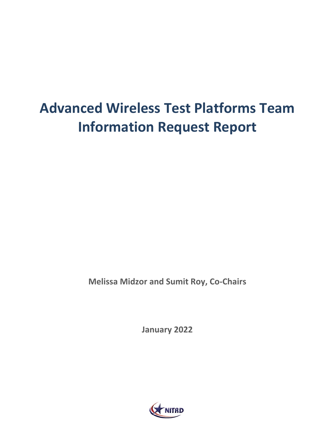# **Advanced Wireless Test Platforms Team Information Request Report**

**Melissa Midzor and Sumit Roy, Co-Chairs** 

 **January 2022** 

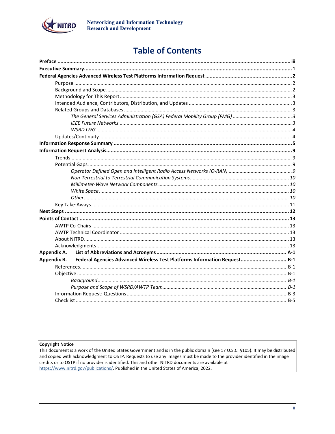

# **Table of Contents**

| Appendix A.                                                                              |  |
|------------------------------------------------------------------------------------------|--|
| Federal Agencies Advanced Wireless Test Platforms Information Request B-1<br>Appendix B. |  |
|                                                                                          |  |
|                                                                                          |  |
|                                                                                          |  |
|                                                                                          |  |
|                                                                                          |  |
|                                                                                          |  |

#### **Copyright Notice**

This document is a work of the United States Government and is in the public domain (see 17 U.S.C. §105). It may be distributed and copied with acknowledgment to OSTP. Requests to use any images must be made to the provider identified in the image credits or to OSTP if no provider is identified. This and other NITRD documents are available at https://www.nitrd.gov/publications/. Published in the United States of America, 2022.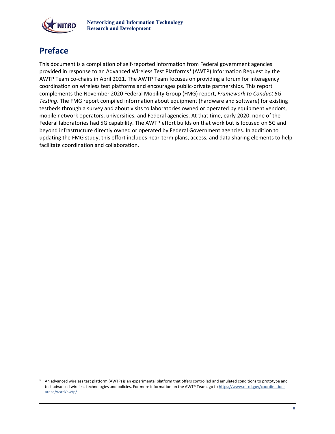

# <span id="page-2-0"></span>**Preface**

 coordination on wireless test platforms and encourages public-private partnerships. This report testbeds through a survey and about visits to laboratories owned or operated by equipment vendors, mobile network operators, universities, and Federal agencies. At that time, early 2020, none of the beyond infrastructure directly owned or operated by Federal Government agencies. In addition to updating the FMG study, this effort includes near-term plans, access, and data sharing elements to help This document is a compilation of self-reported information from Federal government agencies provided in response to an Advanced Wireless Test Platforms<sup>1</sup> (AWTP) Information Request by the AWTP Team co-chairs in April 2021. The AWTP Team focuses on providing a forum for interagency complements the November 2020 Federal Mobility Group (FMG) report, *Framework to Conduct 5G Testing*. The FMG report compiled information about equipment (hardware and software) for existing Federal laboratories had 5G capability. The AWTP effort builds on that work but is focused on 5G and facilitate coordination and collaboration.

<span id="page-2-1"></span> $1$  An advanced wireless test platform (AWTP) is an experimental platform that offers controlled and emulated conditions to prototype and test advanced wireless technologies and policies. For more information on the AWTP Team, go t[o https://www.nitrd.gov/coordination](https://www.nitrd.gov/coordination-areas/wsrd/awtp/)[areas/wsrd/awtp/](https://www.nitrd.gov/coordination-areas/wsrd/awtp/)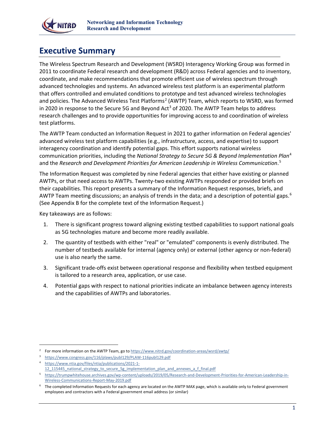

# <span id="page-3-0"></span>**Executive Summary**

 The Wireless Spectrum Research and Development (WSRD) Interagency Working Group was formed in in 2020 in response to the Secure 5G and Beyond Act<sup>[3](#page-3-2)</sup> of 2020. The AWTP Team helps to address 2011 to coordinate Federal research and development (R&D) across Federal agencies and to inventory, coordinate, and make recommendations that promote efficient use of wireless spectrum through advanced technologies and systems. An advanced wireless test platform is an experimental platform that offers controlled and emulated conditions to prototype and test advanced wireless technologies and policies. The Advanced Wireless Test Platforms<sup>[2](#page-3-1)</sup> (AWTP) Team, which reports to WSRD, was formed research challenges and to provide opportunities for improving access to and coordination of wireless test platforms.

The AWTP Team conducted an Information Request in 2021 to gather information on Federal agencies' advanced wireless test platform capabilities (e.g., infrastructure, access, and expertise) to support interagency coordination and identify potential gaps. This effort supports national wireless communication priorities, including the *National Strategy to Secure 5G & Beyond Implementation Plan*[4](#page-3-3)  and the *Research and Development Priorities for American Leadership in Wireless Communication*. [5](#page-3-4)

AWTP Team meeting discussions; an analysis of trends in the data; and a description of potential gaps.<sup>[6](#page-3-5)</sup> (See Appendix B for the complete text of the Information Request.) The Information Request was completed by nine Federal agencies that either have existing or planned AWTPs, or that need access to AWTPs. Twenty-two existing AWTPs responded or provided briefs on their capabilities. This report presents a summary of the Information Request responses, briefs, and

Key takeaways are as follows:

- 1. There is significant progress toward aligning existing testbed capabilities to support national goals as 5G technologies mature and become more readily available.
- 2. The quantity of testbeds with either "real" or "emulated" components is evenly distributed. The number of testbeds available for internal (agency only) or external (other agency or non-federal) use is also nearly the same.
- is tailored to a research area, application, or use case. 3. Significant trade-offs exist between operational response and flexibility when testbed equipment
- 4. Potential gaps with respect to national priorities indicate an imbalance between agency interests and the capabilities of AWTPs and laboratories.

<span id="page-3-1"></span><sup>&</sup>lt;sup>2</sup> For more information on the AWTP Team, go to https://www.nitrd.gov/coordination-areas/wsrd/awtp/

<span id="page-3-2"></span><sup>3</sup> <https://www.congress.gov/116/plaws/publ129/PLAW-116publ129.pdf>

<span id="page-3-3"></span><sup>4</sup> [https://www.ntia.gov/files/ntia/publications/2021-1-](https://www.ntia.gov/files/ntia/publications/2021-1-12_115445_national_strategy_to_secure_5g_implementation_plan_and_annexes_a_f_final.pdf) 12\_115445\_national\_strategy\_to\_secure\_5g\_implementation\_plan\_and\_annexes\_a\_f\_final.pdf

<span id="page-3-4"></span><sup>5</sup> [https://trumpwhitehouse.archives.gov/wp-content/uploads/2019/05/Research-and-Development-Priorities-for-American-Leadership-in-](https://trumpwhitehouse.archives.gov/wp-content/uploads/2019/05/Research-and-Development-Priorities-for-American-Leadership-in-Wireless-Communications-Report-May-2019.pdf)[Wireless-Communications-Report-May-2019.pdf](https://trumpwhitehouse.archives.gov/wp-content/uploads/2019/05/Research-and-Development-Priorities-for-American-Leadership-in-Wireless-Communications-Report-May-2019.pdf) 

<span id="page-3-5"></span> $6$  The completed Information Requests for each agency are located on the AWTP MAX page, which is available only to Federal government employees and contractors with a Federal government email address (or similar)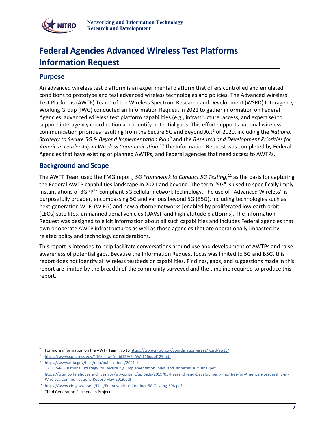

# <span id="page-4-0"></span>**Federal Agencies Advanced Wireless Test Platforms Information Request**

### <span id="page-4-1"></span>**Purpose**

 conditions to prototype and test advanced wireless technologies and policies. The Advanced Wireless An advanced wireless test platform is an experimental platform that offers controlled and emulated Test Platforms (AWTP) Team<sup>[7](#page-4-3)</sup> of the Wireless Spectrum Research and Development (WSRD) Interagency Working Group (IWG) conducted an Information Request in 2021 to gather information on Federal Agencies' advanced wireless test platform capabilities (e.g., infrastructure, access, and expertise) to support interagency coordination and identify potential gaps. This effort supports national wireless communication priorities resulting from the Secure 5G and Beyond Act<sup>[8](#page-4-4)</sup> of 2020, including the *National Strategy to Secure 5G & Beyond Implementation Plan*[9](#page-4-5) and the *Research and Development Priorities for American Leadership in Wireless Communication*. [10](#page-4-6) The Information Request was completed by Federal Agencies that have existing or planned AWTPs, and Federal agencies that need access to AWTPs.

# <span id="page-4-2"></span>**Background and Scope**

instantiations of 3GPP<sup>[12](#page-4-8)</sup>-compliant 5G cellular network technology. The use of "Advanced Wireless" is Request was designed to elicit information about all such capabilities and includes Federal agencies that The AWTP Team used the FMG report, 5G Framework to Conduct 5G Testing,<sup>11</sup> as the basis for capturing the Federal AWTP capabilities landscape in 2021 and beyond. The term "5G" is used to specifically imply purposefully broader, encompassing 5G and various beyond 5G (B5G), including technologies such as next-generation Wi-Fi (WiFi7) and new airborne networks [enabled by proliferated low earth orbit (LEOs) satellites, unmanned aerial vehicles (UAVs), and high-altitude platforms]. The Information own or operate AWTP infrastructures as well as those agencies that are operationally impacted by related policy and technology considerations.

This report is intended to help facilitate conversations around use and development of AWTPs and raise awareness of potential gaps. Because the Information Request focus was limited to 5G and B5G, this report does not identify all wireless testbeds or capabilities. Findings, gaps, and suggestions made in this report are limited by the breadth of the community surveyed and the timeline required to produce this report.

<span id="page-4-4"></span><span id="page-4-3"></span><sup>&</sup>lt;sup>7</sup> For more information on the AWTP Team, go to https://www.nitrd.gov/coordination-areas/wsrd/awtp/

https://www.congress.gov/116/plaws/publ129/PLAW-116publ129.pdf

<span id="page-4-5"></span>[https://www.ntia.gov/files/ntia/publications/2021-1-](https://www.ntia.gov/files/ntia/publications/2021-1-12_115445_national_strategy_to_secure_5g_implementation_plan_and_annexes_a_f_final.pdf) 12\_115445\_national\_strategy\_to\_secure\_5g\_implementation\_plan\_and\_annexes\_a\_f\_final.pdf

<span id="page-4-6"></span><sup>10</sup> [https://trumpwhitehouse.archives.gov/wp-content/uploads/2019/05/Research-and-Development-Priorities-for-American-Leadership-in-](https://trumpwhitehouse.archives.gov/wp-content/uploads/2019/05/Research-and-Development-Priorities-for-American-Leadership-in-Wireless-Communications-Report-May-2019.pdf)[Wireless-Communications-Report-May-2019.pdf](https://trumpwhitehouse.archives.gov/wp-content/uploads/2019/05/Research-and-Development-Priorities-for-American-Leadership-in-Wireless-Communications-Report-May-2019.pdf) 

<span id="page-4-7"></span><sup>11</sup> <https://www.cio.gov/assets/files/Framework-to-Conduct-5G-Testing-508.pdf>

<span id="page-4-8"></span><sup>&</sup>lt;sup>12</sup> Third Generation Partnership Project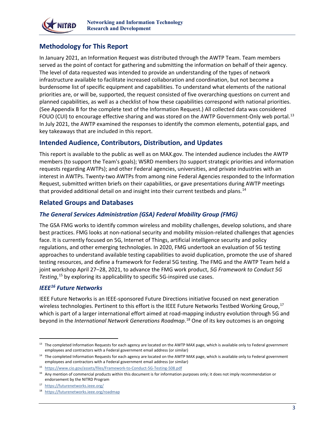

# <span id="page-5-0"></span>**Methodology for This Report**

 served as the point of contact for gathering and submitting the information on behalf of their agency. The level of data requested was intended to provide an understanding of the types of network priorities are, or will be, supported, the request consisted of five overarching questions on current and planned capabilities, as well as a checklist of how these capabilities correspond with national priorities. (See Appendix B for the complete text of the Information Request.) All collected data was considered FOUO (CUI) to encourage effective sharing and was stored on the AWTP Government-Only web portal.<sup>13</sup> In January 2021, an Information Request was distributed through the AWTP Team. Team members infrastructure available to facilitate increased collaboration and coordination, but not become a burdensome list of specific equipment and capabilities. To understand what elements of the national In July 2021, the AWTP examined the responses to identify the common elements, potential gaps, and key takeaways that are included in this report.

# <span id="page-5-1"></span>**Intended Audience, Contributors, Distribution, and Updates**

 members (to support the Team's goals); WSRD members (to support strategic priorities and information requests regarding AWTPs); and other Federal agencies, universities, and private industries with an interest in AWTPs. Twenty-two AWTPs from among nine Federal Agencies responded to the Information This report is available to the public as well as on MAX.gov. The intended audience includes the AWTP Request, submitted written briefs on their capabilities, or gave presentations during AWTP meetings that provided additional detail on and insight into their current testbeds and plans.<sup>[14](#page-5-6)</sup>

# <span id="page-5-2"></span>**Related Groups and Databases**

### <span id="page-5-3"></span>*The General Services Administration (GSA) Federal Mobility Group (FMG)*

 testing resources, and define a framework for Federal 5G testing. The FMG and the AWTP Team held a The GSA FMG works to identify common wireless and mobility challenges, develop solutions, and share best practices. FMG looks at non-national security and mobility mission-related challenges that agencies face. It is currently focused on 5G, Internet of Things, artificial intelligence security and policy regulations, and other emerging technologies. In 2020, FMG undertook an evaluation of 5G testing approaches to understand available testing capabilities to avoid duplication, promote the use of shared joint workshop April 27–28, 2021, to advance the FMG work product, *5G Framework to Conduct 5G Testing*, [15](#page-5-7) by exploring its applicability to specific 5G-inspired use cases.

### <span id="page-5-4"></span>*IEEE[16](#page-5-8) Future Networks*

wireless technologies. Pertinent to this effort is the IEEE Future Networks Testbed Working Group,<sup>17</sup> beyond in the *International Network Generations Roadmap*. [18](#page-5-10) One of its key outcomes is an ongoing IEEE Future Networks is an IEEE-sponsored Future Directions initiative focused on next generation which is part of a larger international effort aimed at road-mapping industry evolution through 5G and

<span id="page-5-5"></span><sup>&</sup>lt;sup>13</sup> The completed Information Requests for each agency are located on the AWTP MAX page, which is available only to Federal government employees and contractors with a Federal government email address (or similar)

<span id="page-5-6"></span> $14$  The completed Information Requests for each agency are located on the AWTP MAX page, which is available only to Federal government employees and contractors with a Federal government email address (or similar)

<span id="page-5-7"></span><sup>15</sup> <https://www.cio.gov/assets/files/Framework-to-Conduct-5G-Testing-508.pdf>

<span id="page-5-8"></span><sup>&</sup>lt;sup>16</sup> Any mention of commercial products within this document is for information purposes only; it does not imply recommendation or endorsement by the NITRD Program

<span id="page-5-9"></span><sup>17</sup> <https://futurenetworks.ieee.org/>

<span id="page-5-10"></span><sup>18</sup> https://futurenetworks.ieee.org/roadmap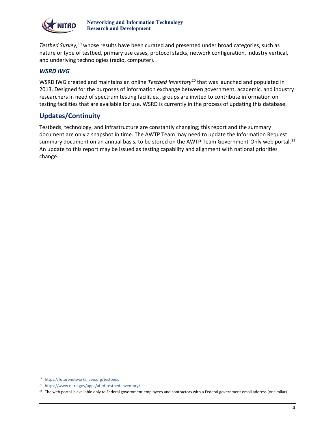

*Testbed Survey*, [19](#page-6-2) whose results have been curated and presented under broad categories, such as nature or type of testbed, primary use cases, protocol stacks, network configuration, industry vertical, and underlying technologies (radio, computer).

#### <span id="page-6-0"></span>*WSRD IWG*

 WSRD IWG created and maintains an online *Testbed Inventory*[20](#page-6-3) that was launched and populated in testing facilities that are available for use. WSRD is currently in the process of updating this database. 2013. Designed for the purposes of information exchange between government, academic, and industry researchers in need of spectrum testing facilities., groups are invited to contribute information on

### <span id="page-6-1"></span>**Updates/Continuity**

summary document on an annual basis, to be stored on the AWTP Team Government-Only web portal.<sup>21</sup> Testbeds, technology, and infrastructure are constantly changing; this report and the summary document are only a snapshot in time. The AWTP Team may need to update the Information Request An update to this report may be issued as testing capability and alignment with national priorities change.

<span id="page-6-2"></span><sup>19</sup> <https://futurenetworks.ieee.org/testbeds>

<span id="page-6-4"></span><span id="page-6-3"></span><sup>20</sup> <https://www.nitrd.gov/apps/ai-rd-testbed-inventory/>

 $^{21}$  The web portal is available only to Federal government employees and contractors with a Federal government email address (or similar)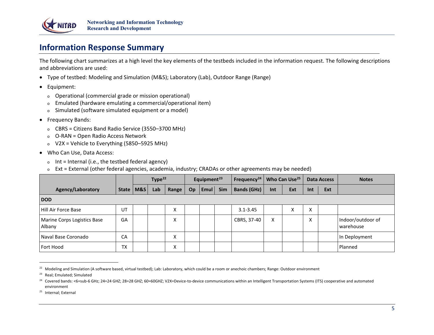<span id="page-7-4"></span><span id="page-7-3"></span><span id="page-7-2"></span><span id="page-7-1"></span>

# **Information Response Summary**

 The following chart summarizes at a high level the key elements of the testbeds included in the information request. The following descriptions and abbreviations are used:

- Type of testbed: Modeling and Simulation (M&S); Laboratory (Lab), Outdoor Range (Range)
- Equipment:
	- o Operational (commercial grade or mission operational)
	- o Emulated (hardware emulating a commercial/operational item)
	- o Simulated (software simulated equipment or a model)
- Frequency Bands:
	- o CBRS = Citizens Band Radio Service (3550–3700 MHz)
	- o O-RAN = Open Radio Access Network
	- o V2X = Vehicle to Everything (5850–5925 MHz)
- <span id="page-7-0"></span>• Who Can Use, Data Access:
	- o Int = Internal (i.e., the testbed federal agency)
	- o Ext = External (other federal agencies, academia, industry; CRADAs or other agreements may be needed)

|                                       |    |             | Type $22$ |       |    | Equipment <sup>23</sup> |     | Frequency <sup>24</sup> | Who Can Use <sup>25</sup> |     | <b>Data Access</b> |     | <b>Notes</b>                   |
|---------------------------------------|----|-------------|-----------|-------|----|-------------------------|-----|-------------------------|---------------------------|-----|--------------------|-----|--------------------------------|
| Agency/Laboratory                     |    | State   M&S | Lab       | Range | Op | Emul                    | Sim | Bands (GHz)             | Int                       | Ext | Int                | Ext |                                |
| <b>DOD</b>                            |    |             |           |       |    |                         |     |                         |                           |     |                    |     |                                |
| Hill Air Force Base                   | UT |             |           | X     |    |                         |     | $3.1 - 3.45$            |                           | x   | X                  |     |                                |
| Marine Corps Logistics Base<br>Albany | GA |             |           | X     |    |                         |     | CBRS, 37-40             | X                         |     | X                  |     | Indoor/outdoor of<br>warehouse |
| Naval Base Coronado                   | CA |             |           | X     |    |                         |     |                         |                           |     |                    |     | In Deployment                  |
| Fort Hood                             | TX |             |           | X     |    |                         |     |                         |                           |     |                    |     | Planned                        |

 $^{22}$  Modeling and Simulation (A software based, virtual testbed); Lab: Laboratory, which could be a room or anechoic chambers; Range: Outdoor environment

<sup>25</sup> Internal; External

<sup>23</sup> Real; Emulated; Simulated

 $^{24}$  Covered bands: <6=sub-6 GHz; 24=24 GHZ; 28=28 GHZ; 60=60GHZ; V2X=Device-to-device communications within an Intelligent Transportation Systems (ITS) cooperative and automated environment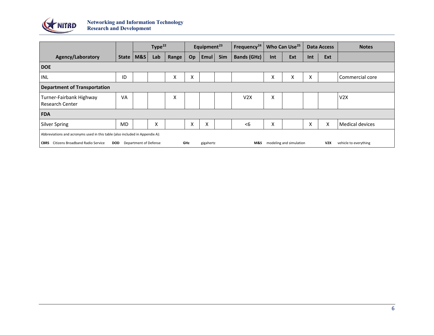

|                                                                                                                                                                                     |                                                                              |     | Type <sup>22</sup> |       |    | Equipment <sup>23</sup> |     | Frequency <sup>24</sup> | Who Can Use <sup>25</sup> |     | <b>Data Access</b> |     | <b>Notes</b>           |
|-------------------------------------------------------------------------------------------------------------------------------------------------------------------------------------|------------------------------------------------------------------------------|-----|--------------------|-------|----|-------------------------|-----|-------------------------|---------------------------|-----|--------------------|-----|------------------------|
| Agency/Laboratory                                                                                                                                                                   | <b>State</b>                                                                 | M&S | Lab                | Range | Op | Emul                    | Sim | <b>Bands (GHz)</b>      | Int                       | Ext | Int                | Ext |                        |
| <b>DOE</b>                                                                                                                                                                          |                                                                              |     |                    |       |    |                         |     |                         |                           |     |                    |     |                        |
| INL                                                                                                                                                                                 | ID                                                                           |     |                    | Χ     | X  |                         |     |                         | Χ                         | x   | $\checkmark$<br>v  |     | Commercial core        |
| <b>Department of Transportation</b>                                                                                                                                                 |                                                                              |     |                    |       |    |                         |     |                         |                           |     |                    |     |                        |
| Turner-Fairbank Highway<br><b>Research Center</b>                                                                                                                                   | VA                                                                           |     |                    | X     |    |                         |     | V2X                     | X                         |     |                    |     | V2X                    |
| <b>FDA</b>                                                                                                                                                                          |                                                                              |     |                    |       |    |                         |     |                         |                           |     |                    |     |                        |
| Silver Spring                                                                                                                                                                       | <b>MD</b>                                                                    |     | X                  |       | X  | X                       |     | < 6                     | X                         |     | X                  | X   | <b>Medical devices</b> |
|                                                                                                                                                                                     | Abbreviations and acronyms used in this table (also included in Appendix A): |     |                    |       |    |                         |     |                         |                           |     |                    |     |                        |
| <b>Citizens Broadband Radio Service</b><br>Department of Defense<br>V2X<br>vehicle to everything<br><b>CBRS</b><br>GHz<br>gigahertz<br>M&S<br>modeling and simulation<br><b>DOD</b> |                                                                              |     |                    |       |    |                         |     |                         |                           |     |                    |     |                        |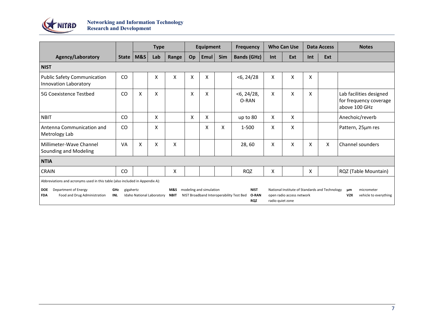

|                                                                                                                                                                                                                                                                                                                                                                                                                                                                                    |               | <b>Type</b> |     |       |    | <b>Equipment</b>                    |     | <b>Frequency</b>       | <b>Who Can Use</b> |     |     | <b>Data Access</b> | <b>Notes</b>                                                       |  |
|------------------------------------------------------------------------------------------------------------------------------------------------------------------------------------------------------------------------------------------------------------------------------------------------------------------------------------------------------------------------------------------------------------------------------------------------------------------------------------|---------------|-------------|-----|-------|----|-------------------------------------|-----|------------------------|--------------------|-----|-----|--------------------|--------------------------------------------------------------------|--|
| Agency/Laboratory                                                                                                                                                                                                                                                                                                                                                                                                                                                                  | <b>State</b>  | M8S         | Lab | Range | Op | Emul                                | Sim | <b>Bands (GHz)</b>     | Int                | Ext | Int | Ext                |                                                                    |  |
| <b>NIST</b>                                                                                                                                                                                                                                                                                                                                                                                                                                                                        |               |             |     |       |    |                                     |     |                        |                    |     |     |                    |                                                                    |  |
| <b>Public Safety Communication</b><br>Innovation Laboratory                                                                                                                                                                                                                                                                                                                                                                                                                        | <sub>CO</sub> |             | x   | X     | x  | X                                   |     | $<$ 6, 24/28           | x                  | X   | X   |                    |                                                                    |  |
| 5G Coexistence Testbed                                                                                                                                                                                                                                                                                                                                                                                                                                                             | <sub>CO</sub> | x           | X   |       | x  | X                                   |     | $<$ 6, 24/28,<br>O-RAN | x                  | X   | X   |                    | Lab facilities designed<br>for frequency coverage<br>above 100 GHz |  |
| <b>NBIT</b>                                                                                                                                                                                                                                                                                                                                                                                                                                                                        | <sub>CO</sub> |             | X   |       | X  | X                                   |     | up to 80               | x                  | X   |     |                    | Anechoic/reverb                                                    |  |
| Antenna Communication and<br>Metrology Lab                                                                                                                                                                                                                                                                                                                                                                                                                                         | CO            |             | X   |       |    | X                                   | X   | 1-500                  | x                  | X   |     |                    | Pattern, 25µm res                                                  |  |
| Millimeter-Wave Channel<br>Sounding and Modeling                                                                                                                                                                                                                                                                                                                                                                                                                                   | VA            | X           | X   | X     |    |                                     |     | 28,60                  | X                  | X   | X   | X                  | Channel sounders                                                   |  |
| <b>NTIA</b>                                                                                                                                                                                                                                                                                                                                                                                                                                                                        |               |             |     |       |    |                                     |     |                        |                    |     |     |                    |                                                                    |  |
| CRAIN                                                                                                                                                                                                                                                                                                                                                                                                                                                                              | <sub>CO</sub> |             |     | X     |    |                                     |     | <b>RQZ</b>             | X                  |     | X   |                    | RQZ (Table Mountain)                                               |  |
| Abbreviations and acronyms used in this table (also included in Appendix A):<br>Department of Energy<br>modeling and simulation<br><b>NIST</b><br>National Institute of Standards and Technology<br><b>DOE</b><br>GHz<br>gigahertz<br>M&S<br>μm<br>Idaho National Laboratory<br>NIST Broadband Interoperability Test Bed<br>O-RAN<br>open radio access network<br><b>FDA</b><br>Food and Drug Administration<br><b>INL</b><br><b>NBIT</b><br>V2X<br><b>RQZ</b><br>radio quiet zone |               |             |     |       |    | micrometer<br>vehicle to everything |     |                        |                    |     |     |                    |                                                                    |  |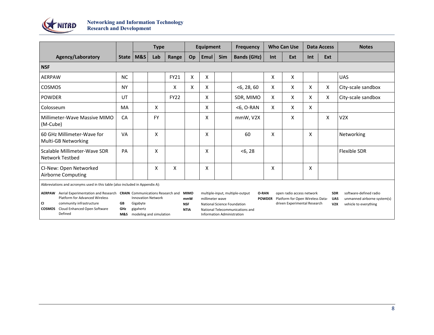

|                                                                                                                                                                                                                   |                  |                       | <b>Type</b>                                          |             |                                                 | <b>Equipment</b> |                                                                  | <b>Frequency</b>                                                            |               | <b>Who Can Use</b>                                                                            |     | <b>Data Access</b>              | <b>Notes</b>                                                                   |
|-------------------------------------------------------------------------------------------------------------------------------------------------------------------------------------------------------------------|------------------|-----------------------|------------------------------------------------------|-------------|-------------------------------------------------|------------------|------------------------------------------------------------------|-----------------------------------------------------------------------------|---------------|-----------------------------------------------------------------------------------------------|-----|---------------------------------|--------------------------------------------------------------------------------|
| Agency/Laboratory                                                                                                                                                                                                 |                  | State   M&S           | Lab                                                  | Range       | Op                                              | Emul             | Sim                                                              | <b>Bands (GHz)</b>                                                          | Int           | Ext                                                                                           | Int | Ext                             |                                                                                |
| <b>NSF</b>                                                                                                                                                                                                        |                  |                       |                                                      |             |                                                 |                  |                                                                  |                                                                             |               |                                                                                               |     |                                 |                                                                                |
| <b>AERPAW</b>                                                                                                                                                                                                     | <b>NC</b>        |                       |                                                      | <b>FY21</b> | X                                               | X                |                                                                  |                                                                             | X             | X                                                                                             |     |                                 | <b>UAS</b>                                                                     |
| COSMOS                                                                                                                                                                                                            | <b>NY</b>        |                       |                                                      | X           | X                                               | X                |                                                                  | $<$ 6, 28, 60                                                               | X             | X                                                                                             | X   | X                               | City-scale sandbox                                                             |
| <b>POWDER</b>                                                                                                                                                                                                     | UT               |                       |                                                      | <b>FY22</b> |                                                 | X                |                                                                  | SDR, MIMO                                                                   | Χ             | X                                                                                             | X   | X                               | City-scale sandbox                                                             |
| Colosseum                                                                                                                                                                                                         | MA               |                       | X                                                    |             |                                                 | X                |                                                                  | $<$ 6, O-RAN                                                                | X             | X                                                                                             | X   |                                 |                                                                                |
| Millimeter-Wave Massive MIMO<br>(M-Cube)                                                                                                                                                                          | CA               |                       | <b>FY</b>                                            |             |                                                 | X                |                                                                  | mmW, V2X                                                                    |               | X                                                                                             |     | X                               | V2X                                                                            |
| 60 GHz Millimeter-Wave for<br><b>Multi-GB Networking</b>                                                                                                                                                          | <b>VA</b>        |                       | X                                                    |             |                                                 | X                |                                                                  | 60                                                                          | X             |                                                                                               | X   |                                 | Networking                                                                     |
| Scalable Millimeter-Wave SDR<br>Network Testbed                                                                                                                                                                   | PA               |                       | X                                                    |             |                                                 | X                |                                                                  | < 6, 28                                                                     |               |                                                                                               |     |                                 | <b>Flexible SDR</b>                                                            |
| CI-New: Open Networked<br>Airborne Computing                                                                                                                                                                      |                  |                       | X                                                    | X           |                                                 | X                |                                                                  |                                                                             | Χ             |                                                                                               | X   |                                 |                                                                                |
| Abbreviations and acronyms used in this table (also included in Appendix A):                                                                                                                                      |                  |                       |                                                      |             |                                                 |                  |                                                                  |                                                                             |               |                                                                                               |     |                                 |                                                                                |
| AERPAW Aerial Experimentation and Research CRAIN Communications Research and<br><b>Platform for Advanced Wireless</b><br>community infrastructure<br>CI.<br><b>COSMOS</b> Cloud Enhanced Open Software<br>Defined | GB<br>GHz<br>M&S | Gigabyte<br>gigahertz | <b>Innovation Network</b><br>modeling and simulation |             | <b>MIMO</b><br>mmW<br><b>NSF</b><br><b>NTIA</b> | millimeter wave  | National Science Foundation<br><b>Information Administration</b> | multiple-input, multiple-output<br>O-RAN<br>National Telecommunications and | <b>POWDER</b> | open radio access network<br>Platform for Open Wireless Data-<br>driven Experimental Research |     | <b>SDR</b><br><b>UAS</b><br>V2X | software-defined radio<br>unmanned airborne system(s)<br>vehicle to everything |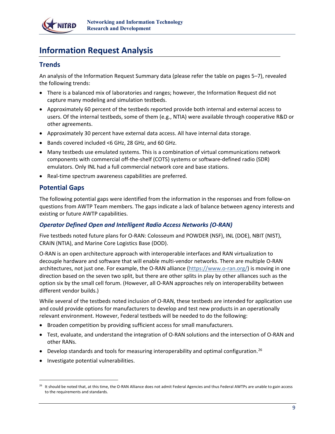

# <span id="page-11-0"></span>**Information Request Analysis**

### <span id="page-11-1"></span>**Trends**

An analysis of the Information Request Summary data (please refer the table on pages 5–7), revealed the following trends:

- There is a balanced mix of laboratories and ranges; however, the Information Request did not capture many modeling and simulation testbeds.
- • Approximately 60 percent of the testbeds reported provide both internal and external access to users. Of the internal testbeds, some of them (e.g., NTIA) were available through cooperative R&D or other agreements.
- Approximately 30 percent have external data access. All have internal data storage.
- Bands covered included <6 GHz, 28 GHz, and 60 GHz.
- • Many testbeds use emulated systems. This is a combination of virtual communications network components with commercial off-the-shelf (COTS) systems or software-defined radio (SDR) emulators. Only INL had a full commercial network core and base stations.
- Real-time spectrum awareness capabilities are preferred.

# <span id="page-11-2"></span>**Potential Gaps**

 questions from AWTP Team members. The gaps indicate a lack of balance between agency interests and The following potential gaps were identified from the information in the responses and from follow-on existing or future AWTP capabilities.

#### <span id="page-11-3"></span> *Operator Defined Open and Intelligent Radio Access Networks (O-RAN)*

 Five testbeds noted future plans for O-RAN: Colosseum and POWDER (NSF), INL (DOE), NBIT (NIST), CRAIN (NTIA), and Marine Core Logistics Base (DOD).

 direction based on the seven two split, but there are other splits in play by other alliances such as the option six by the small cell forum. (However, all O-RAN approaches rely on interoperability between O-RAN is an open architecture approach with interoperable interfaces and RAN virtualization to decouple hardware and software that will enable multi-vendor networks. There are multiple O-RAN architectures, not just one. For example, the O-RAN alliance [\(https://www.o-ran.org/\)](https://www.o-ran.org/) is moving in one different vendor builds.)

While several of the testbeds noted inclusion of O-RAN, these testbeds are intended for application use and could provide options for manufacturers to develop and test new products in an operationally relevant environment. However, Federal testbeds will be needed to do the following:

- Broaden competition by providing sufficient access for small manufacturers.
- • Test, evaluate, and understand the integration of O-RAN solutions and the intersection of O-RAN and other RANs.
- Develop standards and tools for measuring interoperability and optimal configuration.<sup>[26](#page-11-4)</sup>
- Investigate potential vulnerabilities.

<span id="page-11-4"></span> $^{26}$  It should be noted that, at this time, the O-RAN Alliance does not admit Federal Agencies and thus Federal AWTPs are unable to gain access to the requirements and standards.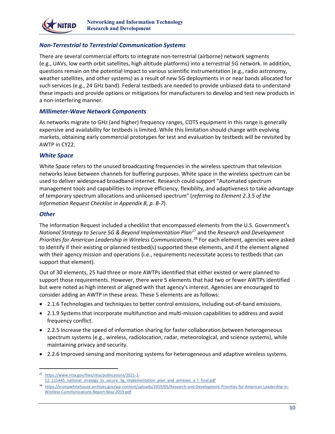

#### <span id="page-12-0"></span>*Non-Terrestrial to Terrestrial Communication Systems*

 such services (e.g., 24 GHz band). Federal testbeds are needed to provide unbiased data to understand these impacts and provide options or mitigations for manufacturers to develop and test new products in There are several commercial efforts to integrate non-terrestrial (airborne) network segments (e.g., UAVs, low earth orbit satellites, high altitude platforms) into a terrestrial 5G network. In addition, questions remain on the potential impact to various scientific instrumentation (e.g., radio astronomy, weather satellites, and other systems) as a result of new 5G deployments in or near bands allocated for a non-interfering manner.

#### <span id="page-12-1"></span>*Millimeter-Wave Network Components*

 As networks migrate to GHz (and higher) frequency ranges, COTS equipment in this range is generally expensive and availability for testbeds is limited. While this limitation should change with evolving markets, obtaining early commercial prototypes for test and evaluation by testbeds will be revisited by AWTP in CY22.

#### <span id="page-12-2"></span>*White Space*

White Space refers to the unused broadcasting frequencies in the wireless spectrum that television networks leave between channels for buffering purposes. White space in the wireless spectrum can be used to deliver widespread broadband internet. Research could support "Automated spectrum management tools and capabilities to improve efficiency, flexibility, and adaptiveness to take advantage of temporary spectrum allocations and unlicensed spectrum" (*referring to Element 2.3.5 of the Information Request Checklist in Appendix B, p. B-7*).

#### <span id="page-12-3"></span>*Other*

 with their agency mission and operations (i.e., requirements necessitate access to testbeds that can The Information Request included a checklist that encompassed elements from the U.S. Government's *National Strategy to Secure 5G & Beyond Implementation Plan*[27](#page-12-4) and the *Research and Development Priorities for American Leadership in Wireless Communications*. [28](#page-12-5) For each element, agencies were asked to identify if their existing or planned testbed(s) supported these elements, and if the element aligned support that element).

 but were noted as high interest or aligned with that agency's interest. Agencies are encouraged to consider adding an AWTP in these areas. These 5 elements are as follows: Out of 30 elements, 25 had three or more AWTPs identified that either existed or were planned to support those requirements. However, there were 5 elements that had two or fewer AWTPs identified

- 2.1.6 Technologies and techniques to better control emissions, including out-of-band emissions.
- 2.1.9 Systems that incorporate multifunction and multi-mission capabilities to address and avoid frequency conflict.
- 2.2.5 Increase the speed of information sharing for faster collaboration between heterogeneous spectrum systems (e.g., wireless, radiolocation, radar, meteorological, and science systems), while maintaining privacy and security.
- 2.2.6 Improved sensing and monitoring systems for heterogeneous and adaptive wireless systems.

<span id="page-12-4"></span><sup>27</sup> [https://www.ntia.gov/files/ntia/publications/2021-1-](https://www.ntia.gov/files/ntia/publications/2021-1-12_115445_national_strategy_to_secure_5g_implementation_plan_and_annexes_a_f_final.pdf)

<sup>12</sup>\_115445\_national\_strategy\_to\_secure\_5g\_implementation\_plan\_and\_annexes\_a\_f\_final.pdf

<span id="page-12-5"></span><sup>28</sup> [https://trumpwhitehouse.archives.gov/wp-content/uploads/2019/05/Research-and-Development-Priorities-for-American-Leadership-in-](https://trumpwhitehouse.archives.gov/wp-content/uploads/2019/05/Research-and-Development-Priorities-for-American-Leadership-in-Wireless-Communications-Report-May-2019.pdf)[Wireless-Communications-Report-May-2019.pdf](https://trumpwhitehouse.archives.gov/wp-content/uploads/2019/05/Research-and-Development-Priorities-for-American-Leadership-in-Wireless-Communications-Report-May-2019.pdf)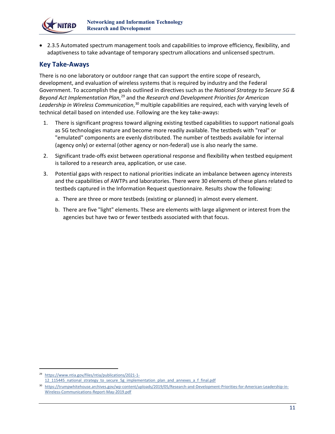

• 2.3.5 Automated spectrum management tools and capabilities to improve efficiency, flexibility, and adaptiveness to take advantage of temporary spectrum allocations and unlicensed spectrum.

# <span id="page-13-0"></span>**Key Take-Aways**

 Government. To accomplish the goals outlined in directives such as the *National Strategy to Secure 5G & Leadership in Wireless Communication*, [30](#page-13-2) multiple capabilities are required, each with varying levels of There is no one laboratory or outdoor range that can support the entire scope of research, development, and evaluation of wireless systems that is required by industry and the Federal *Beyond Act Implementation Plan*, [29](#page-13-1) and the *Research and Development Priorities for American*  technical detail based on intended use. Following are the key take-aways:

- 1. There is significant progress toward aligning existing testbed capabilities to support national goals as 5G technologies mature and become more readily available. The testbeds with "real" or "emulated" components are evenly distributed. The number of testbeds available for internal (agency only) or external (other agency or non-federal) use is also nearly the same.
- is tailored to a research area, application, or use case. 2. Significant trade-offs exist between operational response and flexibility when testbed equipment
- 3. Potential gaps with respect to national priorities indicate an imbalance between agency interests and the capabilities of AWTPs and laboratories. There were 30 elements of these plans related to testbeds captured in the Information Request questionnaire. Results show the following:
	- a. There are three or more testbeds (existing or planned) in almost every element.
	- b. There are five "light" elements. These are elements with large alignment or interest from the agencies but have two or fewer testbeds associated with that focus.

<span id="page-13-1"></span>[https://www.ntia.gov/files/ntia/publications/2021-1-](https://www.ntia.gov/files/ntia/publications/2021-1-12_115445_national_strategy_to_secure_5g_implementation_plan_and_annexes_a_f_final.pdf)

<sup>12</sup>\_115445\_national\_strategy\_to\_secure\_5g\_implementation\_plan\_and\_annexes\_a\_f\_final.pdf

<span id="page-13-2"></span><sup>30</sup> [https://trumpwhitehouse.archives.gov/wp-content/uploads/2019/05/Research-and-Development-Priorities-for-American-Leadership-in-](https://trumpwhitehouse.archives.gov/wp-content/uploads/2019/05/Research-and-Development-Priorities-for-American-Leadership-in-Wireless-Communications-Report-May-2019.pdf)[Wireless-Communications-Report-May-2019.pdf](https://trumpwhitehouse.archives.gov/wp-content/uploads/2019/05/Research-and-Development-Priorities-for-American-Leadership-in-Wireless-Communications-Report-May-2019.pdf)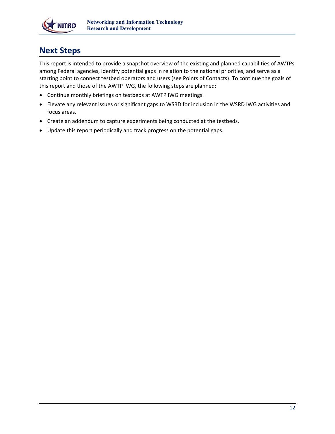

# <span id="page-14-0"></span>**Next Steps**

 among Federal agencies, identify potential gaps in relation to the national priorities, and serve as a This report is intended to provide a snapshot overview of the existing and planned capabilities of AWTPs starting point to connect testbed operators and users (see Points of Contacts). To continue the goals of this report and those of the AWTP IWG, the following steps are planned:

- Continue monthly briefings on testbeds at AWTP IWG meetings.
- Elevate any relevant issues or significant gaps to WSRD for inclusion in the WSRD IWG activities and focus areas.
- Create an addendum to capture experiments being conducted at the testbeds.
- Update this report periodically and track progress on the potential gaps.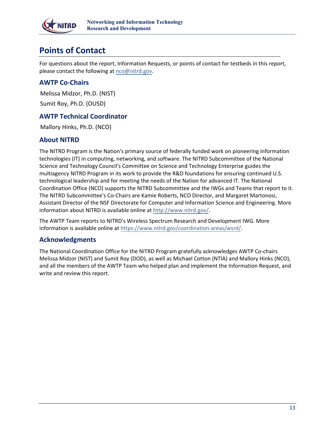

# <span id="page-15-0"></span>**Points of Contact**

 For questions about the report, Information Requests, or points of contact for testbeds in this report, please contact the following at [nco@nitrd.gov](mailto:nco@nitrd.gov).

# <span id="page-15-1"></span>**AWTP Co-Chairs**

Melissa Midzor, Ph.D. (NI[ST\)](mailto:melissa.midzor@nist.gov) Sumit Roy, Ph.D. (OUSD)

# <span id="page-15-2"></span>**AWTP Technical Coor[dinator](mailto:hinks@nitrd.gov)**

<span id="page-15-3"></span>Mallory Hinks, Ph.D. (NCO)

# **About NITRD**

The NITRD Program is the Nation's primary source of federally funded work on pioneering information technologies (IT) in computing, networking, and software. The NITRD Subcommittee of the National Science and Technology Council's Committee on Science and Technology Enterprise guides the multiagency NITRD Program in its work to provide the R&D foundations for ensuring continued U.S. technological leadership and for meeting the needs of the Nation for advanced IT. The National Coordination Office (NCO) supports the NITRD Subcommittee and the IWGs and Teams that report to it. The NITRD Subcommittee's Co-Chairs are Kamie Roberts, NCO Director, and Margaret Martonosi, Assistant Director of the NSF Directorate for Computer and Information Science and Engineering. More information about NITRD is available online at [http://www.nitrd.gov/.](http://www.nitrd.gov/)

The AWTP Team reports to NITRD's Wireless Spectrum Research and Development IWG. More information is available online at [https://www.nitrd.gov/coordination-areas/wsrd/.](https://www.nitrd.gov/coordination-areas/wsrd/)

# <span id="page-15-4"></span>**Acknowledgments**

 Melissa Midzor (NIST) and Sumit Roy (DOD), as well as Michael Cotton (NTIA) and Mallory Hinks (NCO), The National Coordination Office for the NITRD Program gratefully acknowledges AWTP Co-chairs and all the members of the AWTP Team who helped plan and implement the Information Request, and write and review this report.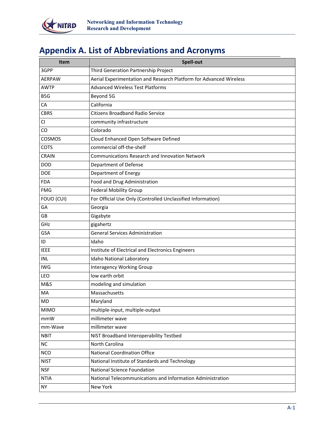

# <span id="page-16-0"></span> **Appendix A. List of Abbreviations and Acronyms**

| Item             | Spell-out                                                          |
|------------------|--------------------------------------------------------------------|
| 3GPP             | Third Generation Partnership Project                               |
| <b>AERPAW</b>    | Aerial Experimentation and Research Platform for Advanced Wireless |
| <b>AWTP</b>      | <b>Advanced Wireless Test Platforms</b>                            |
| B <sub>5</sub> G | Beyond 5G                                                          |
| CA               | California                                                         |
| <b>CBRS</b>      | <b>Citizens Broadband Radio Service</b>                            |
| CI               | community infrastructure                                           |
| CO               | Colorado                                                           |
| COSMOS           | Cloud Enhanced Open Software Defined                               |
| <b>COTS</b>      | commercial off-the-shelf                                           |
| <b>CRAIN</b>     | <b>Communications Research and Innovation Network</b>              |
| <b>DOD</b>       | Department of Defense                                              |
| <b>DOE</b>       | Department of Energy                                               |
| <b>FDA</b>       | Food and Drug Administration                                       |
| <b>FMG</b>       | <b>Federal Mobility Group</b>                                      |
| FOUO (CUI)       | For Official Use Only (Controlled Unclassified Information)        |
| GA               | Georgia                                                            |
| GB               | Gigabyte                                                           |
| GHz              | gigahertz                                                          |
| GSA              | <b>General Services Administration</b>                             |
| ID               | Idaho                                                              |
| <b>IEEE</b>      | Institute of Electrical and Electronics Engineers                  |
| INL              | Idaho National Laboratory                                          |
| <b>IWG</b>       | <b>Interagency Working Group</b>                                   |
| <b>LEO</b>       | low earth orbit                                                    |
| M&S              | modeling and simulation                                            |
| MA               | Massachusetts                                                      |
| MD               | Maryland                                                           |
| <b>MIMO</b>      | multiple-input, multiple-output                                    |
| mmW              | millimeter wave                                                    |
| mm-Wave          | millimeter wave                                                    |
| <b>NBIT</b>      | NIST Broadband Interoperability Testbed                            |
| NC               | North Carolina                                                     |
| <b>NCO</b>       | <b>National Coordination Office</b>                                |
| <b>NIST</b>      | National Institute of Standards and Technology                     |
| <b>NSF</b>       | <b>National Science Foundation</b>                                 |
| <b>NTIA</b>      | National Telecommunications and Information Administration         |
| NY               | New York                                                           |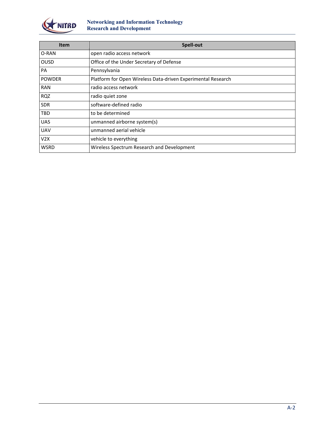

| <b>Item</b>   | Spell-out                                                    |
|---------------|--------------------------------------------------------------|
| O-RAN         | open radio access network                                    |
| <b>OUSD</b>   | Office of the Under Secretary of Defense                     |
| PA            | Pennsylvania                                                 |
| <b>POWDER</b> | Platform for Open Wireless Data-driven Experimental Research |
| <b>RAN</b>    | radio access network                                         |
| <b>RQZ</b>    | radio quiet zone                                             |
| <b>SDR</b>    | software-defined radio                                       |
| <b>TBD</b>    | to be determined                                             |
| <b>UAS</b>    | unmanned airborne system(s)                                  |
| <b>UAV</b>    | unmanned aerial vehicle                                      |
| V2X           | vehicle to everything                                        |
| <b>WSRD</b>   | Wireless Spectrum Research and Development                   |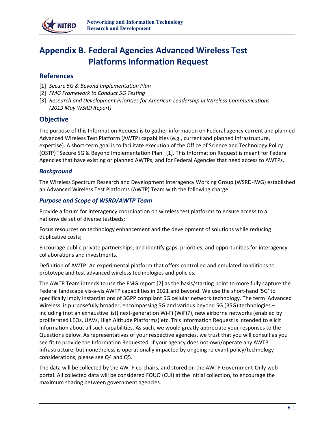

# <span id="page-18-0"></span>**Appendix B. Federal Agencies Advanced Wireless Test Platforms Information Request**

### <span id="page-18-1"></span>**References**

- [1] *Secure 5G & Beyond Implementation Plan*
- [2] *FMG Framework to Conduct 5G Testing*
- [3] *Research and Development Priorities for American Leadership in Wireless Communications (2019 May WSRD Report)*

# <span id="page-18-2"></span>**Objective**

 The purpose of this Information Request is to gather information on Federal agency current and planned Advanced Wireless Test Platform (AWTP) capabilities (e.g., current and planned infrastructure, expertise). A short-term goal is to facilitate execution of the Office of Science and Technology Policy (OSTP) "Secure 5G & Beyond Implementation Plan" [1]. This Information Request is meant for Federal Agencies that have existing or planned AWTPs, and for Federal Agencies that need access to AWTPs.

#### <span id="page-18-3"></span>*Background*

The Wireless Spectrum Research and Development Interagency Working Group (WSRD-IWG) established an Advanced Wireless Test Platforms (AWTP) Team with the following charge.

#### <span id="page-18-4"></span>*Purpose and Scope of WSRD/AWTP Team*

 Provide a forum for interagency coordination on wireless test platforms to ensure access to a nationwide set of diverse testbeds;

Focus resources on technology enhancement and the development of solutions while reducing duplicative costs;

Encourage public-private partnerships; and identify gaps, priorities, and opportunities for interagency collaborations and investments.

Definition of AWTP: An experimental platform that offers controlled and emulated conditions to prototype and test advanced wireless technologies and policies.

 Federal landscape vis-a-vis AWTP capabilities in 2021 and beyond. We use the short-hand '5G' to The AWTP Team intends to use the FMG report [2] as the basis/starting point to more fully capture the specifically imply instantiations of 3GPP compliant 5G cellular network technology. The term 'Advanced Wireless' is purposefully broader, encompassing 5G and various beyond 5G (B5G) technologies – including (not an exhaustive list) next-generation Wi-Fi (WiFi7), new airborne networks (enabled by proliferated LEOs, UAVs, High Altitude Platforms) etc. This Information Request is intended to elicit information about all such capabilities. As such, we would greatly appreciate your responses to the Questions below. As representatives of your respective agencies, we trust that you will consult as you see fit to provide the Information Requested. If your agency does not own/operate any AWTP infrastructure, but nonetheless is operationally impacted by ongoing relevant policy/technology considerations, please see Q4 and Q5.

 The data will be collected by the AWTP co-chairs, and stored on the AWTP Government-Only web portal. All collected data will be considered FOUO (CUI) at the initial collection, to encourage the maximum sharing between government agencies.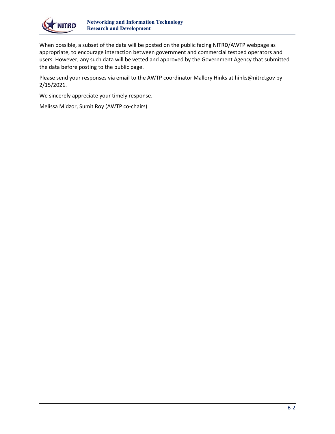

When possible, a subset of the data will be posted on the public facing NITRD/AWTP webpage as appropriate, to encourage interaction between government and commercial testbed operators and users. However, any such data will be vetted and approved by the Government Agency that submitted the data before posting to the public page.

 Please send your responses via email to the AWTP coordinator Mallory Hinks at [hinks@nitrd.gov](mailto:hinks@nitrd.gov) by 2/15/2021.

We sincerely appreciate your timely response.

Melissa Midzor, Sumit Roy (AWTP co-chairs)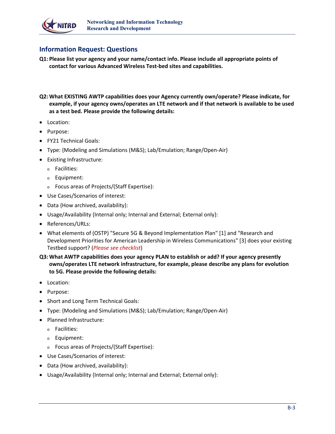

# <span id="page-20-0"></span>**Information Request: Questions**

- **Q1: Please list your agency and your name/contact info. Please include all appropriate points of contact for various Advanced Wireless Test-bed sites and capabilities.**
- **Q2: What EXISTING AWTP capabilities does your Agency currently own/operate? Please indicate, for example, if your agency owns/operates an LTE network and if that network is available to be used as a test bed. Please provide the following details:**
- Location:
- Purpose:
- FY21 Technical Goals:
- Type: {Modeling and Simulations (M&S); Lab/Emulation; Range/Open-Air}
- Existing Infrastructure:
	- o Facilities:
	- o Equipment:
	- o Focus areas of Projects/(Staff Expertise):
- Use Cases/Scenarios of interest:
- Data {How archived, availability}:
- Usage/Availability {Internal only; Internal and External; External only}:
- References/URLs:
- Development Priorities for American Leadership in Wireless Communications" [3] does your existing • What elements of (OSTP) "Secure 5G & Beyond Implementation Plan" [1] and "Research and Testbed support? (*Please see checklist*)

#### **Q3: What AWTP capabilities does your agency PLAN to establish or add? If your agency presently owns/operates LTE network infrastructure, for example, please describe any plans for evolution to 5G. Please provide the following details:**

- Location:
- Purpose:
- Short and Long Term Technical Goals:
- Type: {Modeling and Simulations (M&S); Lab/Emulation; Range/Open-Air}
- Planned Infrastructure:
	- o Facilities:
	- o Equipment:
	- o Focus areas of Projects/(Staff Expertise):
- Use Cases/Scenarios of interest:
- Data {How archived, availability}:
- Usage/Availability {Internal only; Internal and External; External only}: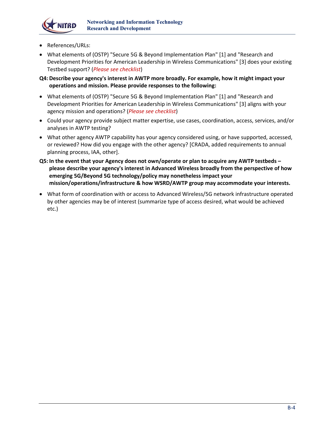

- References/URLs:
- Development Priorities for American Leadership in Wireless Communications" [3] does your existing • What elements of (OSTP) "Secure 5G & Beyond Implementation Plan" [1] and "Research and Testbed support? (*Please see checklist*)
- **Q4: Describe your agency's interest in AWTP more broadly. For example, how it might impact your operations and mission. Please provide responses to the following:**
- What elements of (OSTP) "Secure 5G & Beyond Implementation Plan" [1] and "Research and Development Priorities for American Leadership in Wireless Communications" [3] aligns with your agency mission and operations? (*Please see checklist*)
- Could your agency provide subject matter expertise, use cases, coordination, access, services, and/or analyses in AWTP testing?
- What other agency AWTP capability has your agency considered using, or have supported, accessed, or reviewed? How did you engage with the other agency? [CRADA, added requirements to annual planning process, IAA, other].
- **Q5: In the event that your Agency does not own/operate or plan to acquire any AWTP testbeds please describe your agency's interest in Advanced Wireless broadly from the perspective of how emerging 5G/Beyond 5G technology/policy may nonetheless impact your mission/operations/infrastructure & how WSRD/AWTP group may accommodate your interests.**
- by other agencies may be of interest (summarize type of access desired, what would be achieved • What form of coordination with or access to Advanced Wireless/5G network infrastructure operated etc.)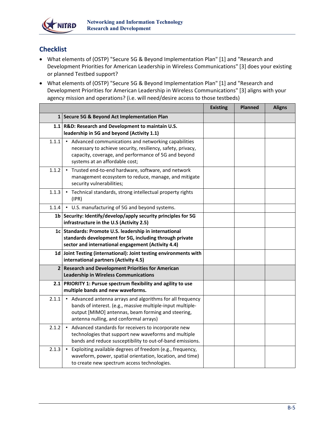

# <span id="page-22-0"></span>**Checklist**

- Development Priorities for American Leadership in Wireless Communications" [3] does your existing • What elements of (OSTP) "Secure 5G & Beyond Implementation Plan" [1] and "Research and or planned Testbed support?
- What elements of (OSTP) "Secure 5G & Beyond Implementation Plan" [1] and "Research and Development Priorities for American Leadership in Wireless Communications" [3] aligns with your agency mission and operations? (i.e. will need/desire access to those testbeds)

|                |                                                                                                                                                                                                                          | <b>Existing</b> | <b>Planned</b> | <b>Aligns</b> |
|----------------|--------------------------------------------------------------------------------------------------------------------------------------------------------------------------------------------------------------------------|-----------------|----------------|---------------|
|                | 1 Secure 5G & Beyond Act Implementation Plan                                                                                                                                                                             |                 |                |               |
|                | 1.1 R&D: Research and Development to maintain U.S.<br>leadership in 5G and beyond (Activity 1.1)                                                                                                                         |                 |                |               |
| 1.1.1          | • Advanced communications and networking capabilities<br>necessary to achieve security, resiliency, safety, privacy,<br>capacity, coverage, and performance of 5G and beyond<br>systems at an affordable cost;           |                 |                |               |
| 1.1.2          | • Trusted end-to-end hardware, software, and network<br>management ecosystem to reduce, manage, and mitigate<br>security vulnerabilities;                                                                                |                 |                |               |
| 1.1.3          | • Technical standards, strong intellectual property rights<br>(IPR)                                                                                                                                                      |                 |                |               |
| 1.1.4          | • U.S. manufacturing of 5G and beyond systems.                                                                                                                                                                           |                 |                |               |
|                | 1b Security: Identify/develop/apply security principles for 5G<br>infrastructure in the U.S (Activity 2.5)                                                                                                               |                 |                |               |
|                | 1c Standards: Promote U.S. leadership in international<br>standards development for 5G, including through private<br>sector and international engagement (Activity 4.4)                                                  |                 |                |               |
|                | 1d Joint Testing (international): Joint testing environments with<br>international partners (Activity 4.5)                                                                                                               |                 |                |               |
| $\overline{2}$ | <b>Research and Development Priorities for American</b><br><b>Leadership in Wireless Communications</b>                                                                                                                  |                 |                |               |
|                | 2.1 PRIORITY 1: Pursue spectrum flexibility and agility to use<br>multiple bands and new waveforms.                                                                                                                      |                 |                |               |
| 2.1.1          | • Advanced antenna arrays and algorithms for all frequency<br>bands of interest. (e.g., massive multiple-input multiple-<br>output [MIMO] antennas, beam forming and steering,<br>antenna nulling, and conformal arrays) |                 |                |               |
| 2.1.2          | • Advanced standards for receivers to incorporate new<br>technologies that support new waveforms and multiple<br>bands and reduce susceptibility to out-of-band emissions.                                               |                 |                |               |
| 2.1.3          | • Exploiting available degrees of freedom (e.g., frequency,<br>waveform, power, spatial orientation, location, and time)<br>to create new spectrum access technologies.                                                  |                 |                |               |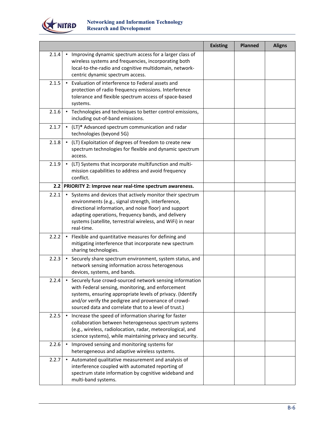

|       |                                                                                                                                                                                                                                                                                                              | <b>Existing</b> | <b>Planned</b> | <b>Aligns</b> |
|-------|--------------------------------------------------------------------------------------------------------------------------------------------------------------------------------------------------------------------------------------------------------------------------------------------------------------|-----------------|----------------|---------------|
| 2.1.4 | Improving dynamic spectrum access for a larger class of<br>$\bullet$<br>wireless systems and frequencies, incorporating both<br>local-to-the-radio and cognitive multidomain, network-<br>centric dynamic spectrum access.                                                                                   |                 |                |               |
| 2.1.5 | • Evaluation of interference to Federal assets and<br>protection of radio frequency emissions. Interference<br>tolerance and flexible spectrum access of space-based<br>systems.                                                                                                                             |                 |                |               |
| 2.1.6 | • Technologies and techniques to better control emissions,<br>including out-of-band emissions.                                                                                                                                                                                                               |                 |                |               |
| 2.1.7 | (LT)* Advanced spectrum communication and radar<br>$\bullet$<br>technologies (beyond 5G)                                                                                                                                                                                                                     |                 |                |               |
| 2.1.8 | (LT) Exploitation of degrees of freedom to create new<br>spectrum technologies for flexible and dynamic spectrum<br>access.                                                                                                                                                                                  |                 |                |               |
| 2.1.9 | (LT) Systems that incorporate multifunction and multi-<br>$\bullet$<br>mission capabilities to address and avoid frequency<br>conflict.                                                                                                                                                                      |                 |                |               |
|       | 2.2 PRIORITY 2: Improve near real-time spectrum awareness.                                                                                                                                                                                                                                                   |                 |                |               |
| 2.2.1 | • Systems and devices that actively monitor their spectrum<br>environments (e.g., signal strength, interference,<br>directional information, and noise floor) and support<br>adapting operations, frequency bands, and delivery<br>systems (satellite, terrestrial wireless, and WiFi) in near<br>real-time. |                 |                |               |
| 2.2.2 | • Flexible and quantitative measures for defining and<br>mitigating interference that incorporate new spectrum<br>sharing technologies.                                                                                                                                                                      |                 |                |               |
| 2.2.3 | • Securely share spectrum environment, system status, and<br>network sensing information across heterogenous<br>devices, systems, and bands.                                                                                                                                                                 |                 |                |               |
| 2.2.4 | Securely fuse crowd-sourced network sensing information<br>with Federal sensing, monitoring, and enforcement<br>systems, ensuring appropriate levels of privacy. (Identify<br>and/or verify the pedigree and provenance of crowd-<br>sourced data and correlate that to a level of trust.)                   |                 |                |               |
| 2.2.5 | Increase the speed of information sharing for faster<br>$\bullet$<br>collaboration between heterogeneous spectrum systems<br>(e.g., wireless, radiolocation, radar, meteorological, and<br>science systems), while maintaining privacy and security.                                                         |                 |                |               |
| 2.2.6 | Improved sensing and monitoring systems for<br>heterogeneous and adaptive wireless systems.                                                                                                                                                                                                                  |                 |                |               |
| 2.2.7 | Automated qualitative measurement and analysis of<br>$\bullet$<br>interference coupled with automated reporting of<br>spectrum state information by cognitive wideband and<br>multi-band systems.                                                                                                            |                 |                |               |